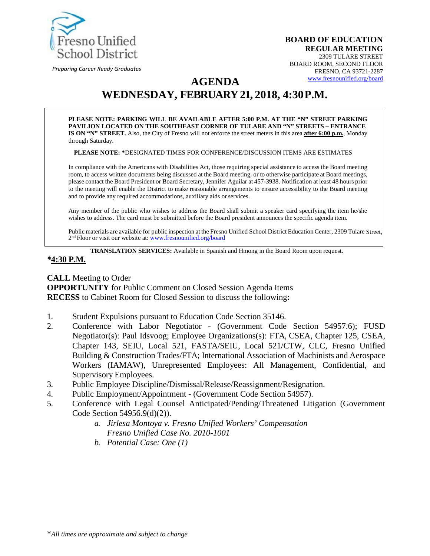

*Preparing Career Ready Graduates*

**BOARD OF EDUCATION REGULAR MEETING**  2309 TULARE STREET BOARD ROOM, SECOND FLOOR FRESNO, CA 93721-2287 [www.fresnounified.org/board](http://www.fresnounified.org/board)

# **AGENDA WEDNESDAY, FEBRUARY 21, 2018, 4:30P.M.**

**PLEASE NOTE: PARKING WILL BE AVAILABLE AFTER 5:00 P.M. AT THE "N" STREET PARKING PAVILION LOCATED ON THE SOUTHEAST CORNER OF TULARE AND "N" STREETS – ENTRANCE IS ON "N" STREET.** Also, the City of Fresno will not enforce the street meters in this area **after 6:00 p.m.**, Monday through Saturday.

**PLEASE NOTE: \***DESIGNATED TIMES FOR CONFERENCE/DISCUSSION ITEMS ARE ESTIMATES

In compliance with the Americans with Disabilities Act, those requiring special assistance to access the Board meeting room, to access written documents being discussed at the Board meeting, or to otherwise participate at Board meetings, please contact the Board President or Board Secretary, Jennifer Aguilar at 457-3938. Notification at least 48 hours prior to the meeting will enable the District to make reasonable arrangements to ensure accessibility to the Board meeting and to provide any required accommodations, auxiliary aids or services.

Any member of the public who wishes to address the Board shall submit a speaker card specifying the item he/she wishes to address. The card must be submitted before the Board president announces the specific agenda item.

Public materials are available for public inspection at the Fresno Unified School District Education Center, 2309 Tulare Street, 2<sup>nd</sup> Floor or visit our website at: **[www.fresnounified.org/board](http://www.fresnounified.org/board)** 

**TRANSLATION SERVICES:** Available in Spanish and Hmong in the Board Room upon request.

#### *\****4:30 P.M.**

**CALL** Meeting to Order **OPPORTUNITY** for Public Comment on Closed Session Agenda Items **RECESS** to Cabinet Room for Closed Session to discuss the following**:**

- 1. Student Expulsions pursuant to Education Code Section 35146.
- 2. Conference with Labor Negotiator (Government Code Section 54957.6); FUSD Negotiator(s): Paul Idsvoog; Employee Organizations(s): FTA, CSEA, Chapter 125, CSEA, Chapter 143, SEIU, Local 521, FASTA/SEIU, Local 521/CTW, CLC, Fresno Unified Building & Construction Trades/FTA; International Association of Machinists and Aerospace Workers (IAMAW), Unrepresented Employees: All Management, Confidential, and Supervisory Employees.
- 3. Public Employee Discipline/Dismissal/Release/Reassignment/Resignation.
- 4. Public Employment/Appointment (Government Code Section 54957).
- 5. Conference with Legal Counsel Anticipated/Pending/Threatened Litigation (Government Code Section 54956.9(d)(2)).
	- *a. Jirlesa Montoya v. Fresno Unified Workers' Compensation Fresno Unified Case No. 2010-1001*
	- *b. Potential Case: One (1)*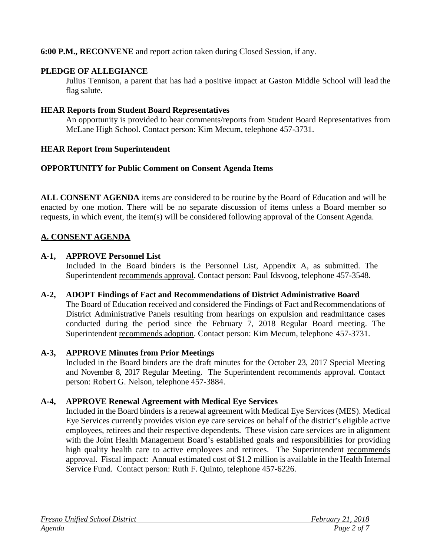### **6:00 P.M., RECONVENE** and report action taken during Closed Session, if any.

### **PLEDGE OF ALLEGIANCE**

Julius Tennison, a parent that has had a positive impact at Gaston Middle School will lead the flag salute.

### **HEAR Reports from Student Board Representatives**

An opportunity is provided to hear comments/reports from Student Board Representatives from McLane High School. Contact person: Kim Mecum, telephone 457-3731.

### **HEAR Report from Superintendent**

### **OPPORTUNITY for Public Comment on Consent Agenda Items**

**ALL CONSENT AGENDA** items are considered to be routine by the Board of Education and will be enacted by one motion. There will be no separate discussion of items unless a Board member so requests, in which event, the item(s) will be considered following approval of the Consent Agenda.

### **A. CONSENT AGENDA**

#### **A-1, APPROVE Personnel List**

Included in the Board binders is the Personnel List, Appendix A, as submitted. The Superintendent recommends approval. Contact person: Paul Idsvoog, telephone 457-3548.

#### **A-2, ADOPT Findings of Fact and Recommendations of District Administrative Board** The Board of Education received and considered the Findings of Fact andRecommendations of

District Administrative Panels resulting from hearings on expulsion and readmittance cases conducted during the period since the February 7, 2018 Regular Board meeting. The Superintendent recommends adoption. Contact person: Kim Mecum, telephone 457-3731.

### **A-3, APPROVE Minutes from Prior Meetings**

Included in the Board binders are the draft minutes for the October 23, 2017 Special Meeting and November 8, 2017 Regular Meeting. The Superintendent recommends approval. Contact person: Robert G. Nelson, telephone 457-3884.

### **A-4, APPROVE Renewal Agreement with Medical Eye Services**

Included in the Board binders is a renewal agreement with Medical Eye Services (MES). Medical Eye Services currently provides vision eye care services on behalf of the district's eligible active employees, retirees and their respective dependents. These vision care services are in alignment with the Joint Health Management Board's established goals and responsibilities for providing high quality health care to active employees and retirees. The Superintendent recommends approval. Fiscal impact: Annual estimated cost of \$1.2 million is available in the Health Internal Service Fund. Contact person: Ruth F. Quinto, telephone 457-6226.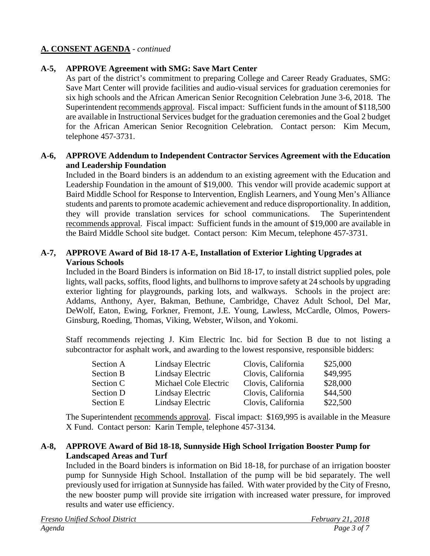### **A. CONSENT AGENDA** - *continued*

### **A-5, APPROVE Agreement with SMG: Save Mart Center**

As part of the district's commitment to preparing College and Career Ready Graduates, SMG: Save Mart Center will provide facilities and audio-visual services for graduation ceremonies for six high schools and the African American Senior Recognition Celebration June 3-6, 2018. The Superintendent recommends approval. Fiscal impact: Sufficient funds in the amount of \$118,500 are available in Instructional Services budget for the graduation ceremonies and the Goal 2 budget for the African American Senior Recognition Celebration. Contact person: Kim Mecum, telephone 457-3731.

### **A-6, APPROVE Addendum to Independent Contractor Services Agreement with the Education and Leadership Foundation**

Included in the Board binders is an addendum to an existing agreement with the Education and Leadership Foundation in the amount of \$19,000. This vendor will provide academic support at Baird Middle School for Response to Intervention, English Learners, and Young Men's Alliance students and parents to promote academic achievement and reduce disproportionality. In addition, they will provide translation services for school communications. The Superintendent recommends approval. Fiscal impact: Sufficient funds in the amount of \$19,000 are available in the Baird Middle School site budget. Contact person: Kim Mecum, telephone 457-3731.

### **A-7, APPROVE Award of Bid 18-17 A-E, Installation of Exterior Lighting Upgrades at Various Schools**

Included in the Board Binders is information on Bid 18-17, to install district supplied poles, pole lights, wall packs, soffits, flood lights, and bullhorns to improve safety at 24 schools by upgrading exterior lighting for playgrounds, parking lots, and walkways. Schools in the project are: Addams, Anthony, Ayer, Bakman, Bethune, Cambridge, Chavez Adult School, Del Mar, DeWolf, Eaton, Ewing, Forkner, Fremont, J.E. Young, Lawless, McCardle, Olmos, Powers-Ginsburg, Roeding, Thomas, Viking, Webster, Wilson, and Yokomi.

Staff recommends rejecting J. Kim Electric Inc. bid for Section B due to not listing a subcontractor for asphalt work, and awarding to the lowest responsive, responsible bidders:

| Section A        | Lindsay Electric      | Clovis, California | \$25,000 |
|------------------|-----------------------|--------------------|----------|
| <b>Section B</b> | Lindsay Electric      | Clovis, California | \$49,995 |
| Section C        | Michael Cole Electric | Clovis, California | \$28,000 |
| Section D        | Lindsay Electric      | Clovis, California | \$44,500 |
| Section E        | Lindsay Electric      | Clovis, California | \$22,500 |

The Superintendent recommends approval. Fiscal impact:\$169,995 is available in the Measure X Fund. Contact person: Karin Temple, telephone 457-3134.

### **A-8, APPROVE Award of Bid 18-18, Sunnyside High School Irrigation Booster Pump for Landscaped Areas and Turf**

Included in the Board binders is information on Bid 18-18, for purchase of an irrigation booster pump for Sunnyside High School. Installation of the pump will be bid separately. The well previously used for irrigation at Sunnyside has failed. With water provided by the City of Fresno, the new booster pump will provide site irrigation with increased water pressure, for improved results and water use efficiency.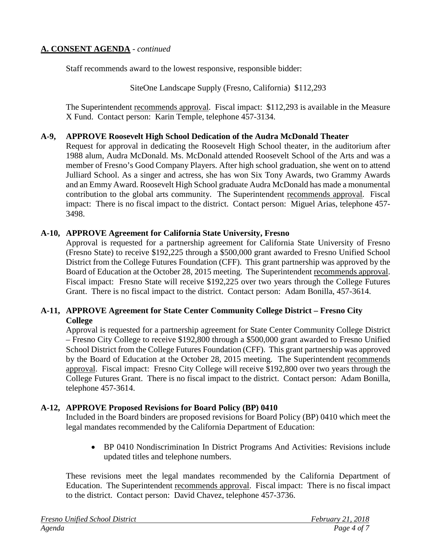### **A. CONSENT AGENDA** - *continued*

Staff recommends award to the lowest responsive, responsible bidder:

SiteOne Landscape Supply (Fresno, California) \$112,293

The Superintendent recommends approval. Fiscal impact:\$112,293 is available in the Measure X Fund. Contact person: Karin Temple, telephone 457-3134.

#### **A-9, APPROVE Roosevelt High School Dedication of the Audra McDonald Theater**

Request for approval in dedicating the Roosevelt High School theater, in the auditorium after 1988 alum, Audra McDonald. Ms. McDonald attended Roosevelt School of the Arts and was a member of Fresno's Good Company Players. After high school graduation, she went on to attend Julliard School. As a singer and actress, she has won Six Tony Awards, two Grammy Awards and an Emmy Award. Roosevelt High School graduate Audra McDonald has made a monumental contribution to the global arts community. The Superintendent recommends approval. Fiscal impact: There is no fiscal impact to the district. Contact person: Miguel Arias, telephone 457- 3498.

#### **A-10, APPROVE Agreement for California State University, Fresno**

Approval is requested for a partnership agreement for California State University of Fresno (Fresno State) to receive \$192,225 through a \$500,000 grant awarded to Fresno Unified School District from the College Futures Foundation (CFF). This grant partnership was approved by the Board of Education at the October 28, 2015 meeting. The Superintendent recommends approval. Fiscal impact: Fresno State will receive \$192,225 over two years through the College Futures Grant. There is no fiscal impact to the district. Contact person: Adam Bonilla, 457-3614.

### **A-11, APPROVE Agreement for State Center Community College District – Fresno City College**

Approval is requested for a partnership agreement for State Center Community College District – Fresno City College to receive \$192,800 through a \$500,000 grant awarded to Fresno Unified School District from the College Futures Foundation (CFF). This grant partnership was approved by the Board of Education at the October 28, 2015 meeting. The Superintendent recommends approval. Fiscal impact: Fresno City College will receive \$192,800 over two years through the College Futures Grant. There is no fiscal impact to the district. Contact person: Adam Bonilla, telephone 457-3614.

#### **A-12, APPROVE Proposed Revisions for Board Policy (BP) 0410**

Included in the Board binders are proposed revisions for Board Policy (BP) 0410 which meet the legal mandates recommended by the California Department of Education:

• BP 0410 Nondiscrimination In District Programs And Activities: Revisions include updated titles and telephone numbers.

These revisions meet the legal mandates recommended by the California Department of Education. The Superintendent recommends approval. Fiscal impact: There is no fiscal impact to the district. Contact person: David Chavez, telephone 457-3736.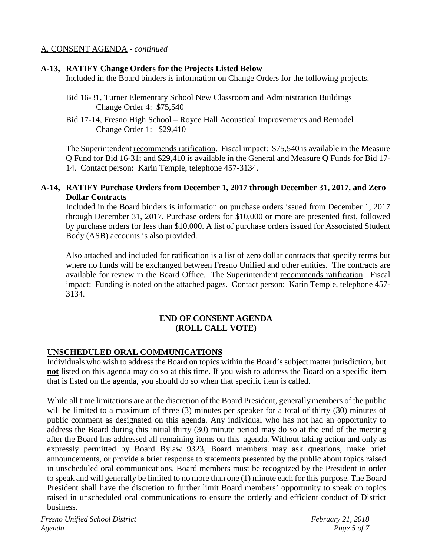### A. CONSENT AGENDA - *continued*

#### **A-13, RATIFY Change Orders for the Projects Listed Below**

Included in the Board binders is information on Change Orders for the following projects.

- Bid 16-31, Turner Elementary School New Classroom and Administration Buildings Change Order 4: \$75,540
- Bid 17-14, Fresno High School Royce Hall Acoustical Improvements and Remodel Change Order 1: \$29,410

The Superintendent recommends ratification. Fiscal impact:\$75,540 is available in the Measure Q Fund for Bid 16-31; and \$29,410 is available in the General and Measure Q Funds for Bid 17- 14. Contact person: Karin Temple, telephone 457-3134.

#### **A-14, RATIFY Purchase Orders from December 1, 2017 through December 31, 2017, and Zero Dollar Contracts**

Included in the Board binders is information on purchase orders issued from December 1, 2017 through December 31, 2017. Purchase orders for \$10,000 or more are presented first, followed by purchase orders for less than \$10,000. A list of purchase orders issued for Associated Student Body (ASB) accounts is also provided.

Also attached and included for ratification is a list of zero dollar contracts that specify terms but where no funds will be exchanged between Fresno Unified and other entities. The contracts are available for review in the Board Office. The Superintendent recommends ratification. Fiscal impact: Funding is noted on the attached pages. Contact person: Karin Temple, telephone 457- 3134.

#### **END OF CONSENT AGENDA (ROLL CALL VOTE)**

#### **UNSCHEDULED ORAL COMMUNICATIONS**

Individuals who wish to address the Board on topics within the Board's subject matter jurisdiction, but **not** listed on this agenda may do so at this time. If you wish to address the Board on a specific item that is listed on the agenda, you should do so when that specific item is called.

While all time limitations are at the discretion of the Board President, generallymembers of the public will be limited to a maximum of three (3) minutes per speaker for a total of thirty (30) minutes of public comment as designated on this agenda. Any individual who has not had an opportunity to address the Board during this initial thirty (30) minute period may do so at the end of the meeting after the Board has addressed all remaining items on this agenda. Without taking action and only as expressly permitted by Board Bylaw 9323, Board members may ask questions, make brief announcements, or provide a brief response to statements presented by the public about topics raised in unscheduled oral communications. Board members must be recognized by the President in order to speak and will generally be limited to no more than one (1) minute each for this purpose. The Board President shall have the discretion to further limit Board members' opportunity to speak on topics raised in unscheduled oral communications to ensure the orderly and efficient conduct of District business.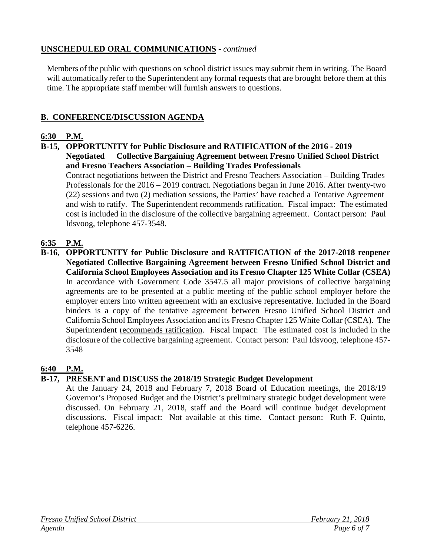## **UNSCHEDULED ORAL COMMUNICATIONS** - *continued*

Members of the public with questions on school district issues may submit them in writing. The Board will automatically refer to the Superintendent any formal requests that are brought before them at this time. The appropriate staff member will furnish answers to questions.

### **B. CONFERENCE/DISCUSSION AGENDA**

### **6:30 P.M.**

**B-15, OPPORTUNITY for Public Disclosure and RATIFICATION of the 2016 - 2019** 

**Negotiated Collective Bargaining Agreement between Fresno Unified School District and Fresno Teachers Association – Building Trades Professionals**

Contract negotiations between the District and Fresno Teachers Association – Building Trades Professionals for the 2016 – 2019 contract. Negotiations began in June 2016. After twenty-two (22) sessions and two (2) mediation sessions, the Parties' have reached a Tentative Agreement and wish to ratify. The Superintendent recommends ratification. Fiscal impact: The estimated cost is included in the disclosure of the collective bargaining agreement. Contact person: Paul Idsvoog, telephone 457-3548.

### **6:35 P.M.**

**B-16**, **OPPORTUNITY for Public Disclosure and RATIFICATION of the 2017-2018 reopener Negotiated Collective Bargaining Agreement between Fresno Unified School District and California School Employees Association and its Fresno Chapter 125 White Collar (CSEA)** In accordance with Government Code 3547.5 all major provisions of collective bargaining agreements are to be presented at a public meeting of the public school employer before the employer enters into written agreement with an exclusive representative. Included in the Board binders is a copy of the tentative agreement between Fresno Unified School District and California School Employees Association and its Fresno Chapter 125 White Collar (CSEA). The Superintendent recommends ratification. Fiscal impact: The estimated cost is included in the disclosure of the collective bargaining agreement. Contact person: Paul Idsvoog, telephone 457- 3548

### **6:40 P.M.**

### **B-17, PRESENT and DISCUSS the 2018/19 Strategic Budget Development**

At the January 24, 2018 and February 7, 2018 Board of Education meetings, the 2018/19 Governor's Proposed Budget and the District's preliminary strategic budget development were discussed. On February 21, 2018, staff and the Board will continue budget development discussions. Fiscal impact: Not available at this time. Contact person: Ruth F. Quinto, telephone 457-6226.